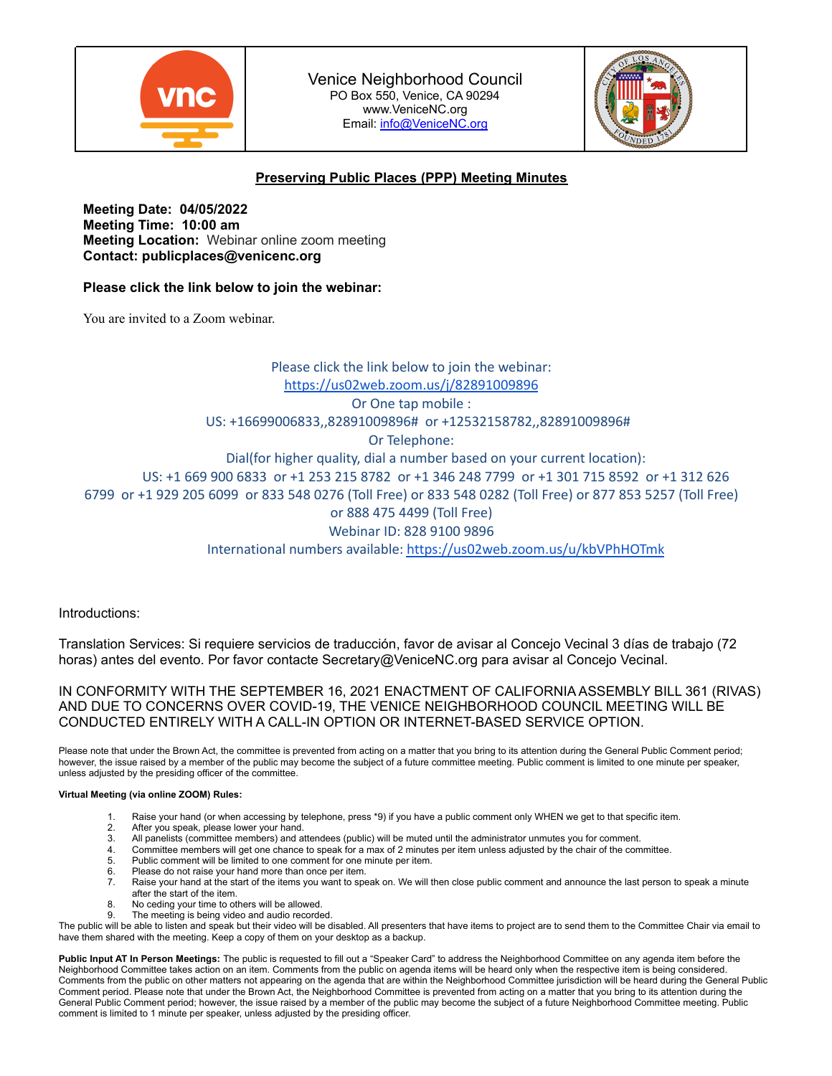

Venice Neighborhood Council PO Box 550, Venice, CA 90294 www.VeniceNC.org Email: [info@VeniceNC.org](mailto:info@VeniceNC.org)



# **Preserving Public Places (PPP) Meeting Minutes**

**Meeting Date: 04/05/2022 Meeting Time: 10:00 am Meeting Location:** Webinar online zoom meeting **Contact: publicplaces@venicenc.org**

# **Please click the link below to join the webinar:**

You are invited to a Zoom webinar.

Please click the link below to join the webinar: <https://us02web.zoom.us/j/82891009896> Or One tap mobile : US: +16699006833,,82891009896# or +12532158782,,82891009896# Or Telephone: Dial(for higher quality, dial a number based on your current location): US: +1 669 900 6833 or +1 253 215 8782 or +1 346 248 7799 or +1 301 715 8592 or +1 312 626 6799 or +1 929 205 6099 or 833 548 0276 (Toll Free) or 833 548 0282 (Toll Free) or 877 853 5257 (Toll Free) or 888 475 4499 (Toll Free) Webinar ID: 828 9100 9896 International numbers available: <https://us02web.zoom.us/u/kbVPhHOTmk>

Introductions:

Translation Services: Si requiere servicios de traducción, favor de avisar al Concejo Vecinal 3 días de trabajo (72 horas) antes del evento. Por favor contacte Secretary@VeniceNC.org para avisar al Concejo Vecinal.

IN CONFORMITY WITH THE SEPTEMBER 16, 2021 ENACTMENT OF CALIFORNIA ASSEMBLY BILL 361 (RIVAS) AND DUE TO CONCERNS OVER COVID-19, THE VENICE NEIGHBORHOOD COUNCIL MEETING WILL BE CONDUCTED ENTIRELY WITH A CALL-IN OPTION OR INTERNET-BASED SERVICE OPTION.

Please note that under the Brown Act, the committee is prevented from acting on a matter that you bring to its attention during the General Public Comment period; however, the issue raised by a member of the public may become the subject of a future committee meeting. Public comment is limited to one minute per speaker, unless adjusted by the presiding officer of the committee.

#### **Virtual Meeting (via online ZOOM) Rules:**

- Raise your hand (or when accessing by telephone, press \*9) if you have a public comment only WHEN we get to that specific item.
- 2. After you speak, please lower your hand.<br>3. All panelists (committee members) and a
- 3. All panelists (committee members) and attendees (public) will be muted until the administrator unmutes you for comment.<br>4. Committee members will get one chance to speak for a max of 2 minutes per item unless adiusted b
- 4. Committee members will get one chance to speak for a max of 2 minutes per item unless adjusted by the chair of the committee.
- 5. Public comment will be limited to one comment for one minute per item.
- 6. Please do not raise your hand more than once per item.<br>7. Raise your hand at the start of the items you want to spe
- Raise your hand at the start of the items you want to speak on. We will then close public comment and announce the last person to speak a minute after the start of the item.
- 8. No ceding your time to others will be allowed. The meeting is being video and audio recorded.

The public will be able to listen and speak but their video will be disabled. All presenters that have items to project are to send them to the Committee Chair via email to have them shared with the meeting. Keep a copy of them on your desktop as a backup.

**Public Input AT In Person Meetings:** The public is requested to fill out a "Speaker Card" to address the Neighborhood Committee on any agenda item before the Neighborhood Committee takes action on an item. Comments from the public on agenda items will be heard only when the respective item is being considered. Comments from the public on other matters not appearing on the agenda that are within the Neighborhood Committee jurisdiction will be heard during the General Public Comment period. Please note that under the Brown Act, the Neighborhood Committee is prevented from acting on a matter that you bring to its attention during the General Public Comment period; however, the issue raised by a member of the public may become the subject of a future Neighborhood Committee meeting. Public comment is limited to 1 minute per speaker, unless adjusted by the presiding officer.